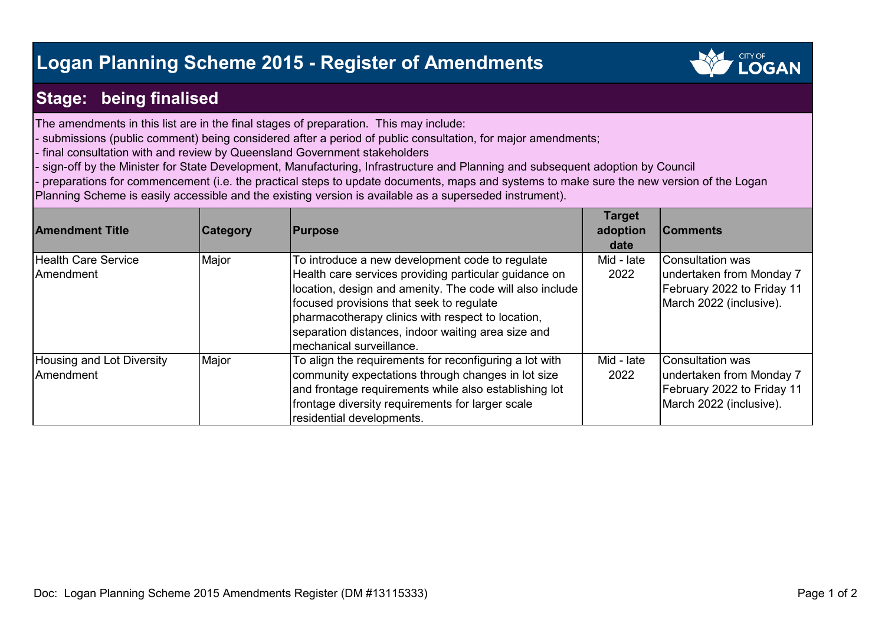## **Logan Planning Scheme 2015 - Register of Amendments**



## **Stage: being finalised**

The amendments in this list are in the final stages of preparation. This may include:

- submissions (public comment) being considered after a period of public consultation, for major amendments;

- final consultation with and review by Queensland Government stakeholders

- sign-off by the Minister for State Development, Manufacturing, Infrastructure and Planning and subsequent adoption by Council

preparations for commencement (i.e. the practical steps to update documents, maps and systems to make sure the new version of the Logan

Planning Scheme is easily accessible and the existing version is available as a superseded instrument).

| <b>Amendment Title</b>     | <b>Category</b> | <b>Purpose</b>                                           | <b>Target</b><br>adoption<br>date | <b>IComments</b>           |
|----------------------------|-----------------|----------------------------------------------------------|-----------------------------------|----------------------------|
| <b>Health Care Service</b> | Major           | To introduce a new development code to regulate          | Mid - late                        | <b>Consultation was</b>    |
| Amendment                  |                 | Health care services providing particular guidance on    | 2022                              | undertaken from Monday 7   |
|                            |                 | location, design and amenity. The code will also include |                                   | February 2022 to Friday 11 |
|                            |                 | focused provisions that seek to regulate                 |                                   | March 2022 (inclusive).    |
|                            |                 | pharmacotherapy clinics with respect to location,        |                                   |                            |
|                            |                 | separation distances, indoor waiting area size and       |                                   |                            |
|                            |                 | Imechanical surveillance.                                |                                   |                            |
| Housing and Lot Diversity  | Major           | To align the requirements for reconfiguring a lot with   | Mid - late                        | <b>Consultation was</b>    |
| <b>Amendment</b>           |                 | community expectations through changes in lot size       | 2022                              | undertaken from Monday 7   |
|                            |                 | and frontage requirements while also establishing lot    |                                   | February 2022 to Friday 11 |
|                            |                 | frontage diversity requirements for larger scale         |                                   | March 2022 (inclusive).    |
|                            |                 | residential developments.                                |                                   |                            |